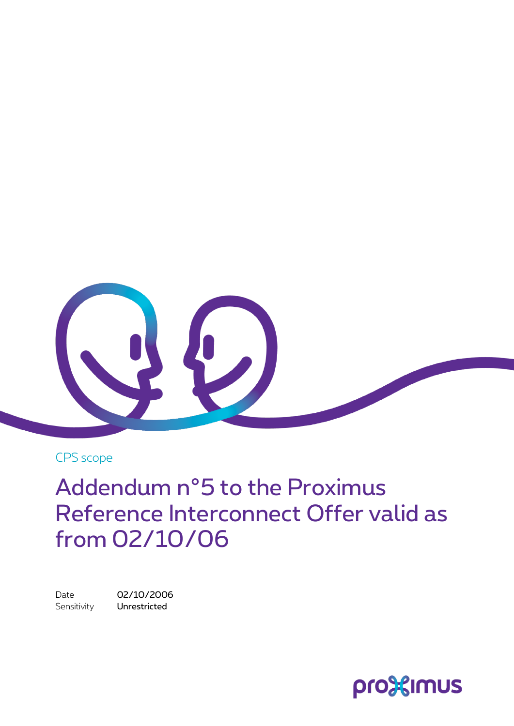

CPS scope

Addendum n°5 to the Proximus Reference Interconnect Offer valid as from 02/10/06

Date 02/10/2006 Sensitivity **Unrestricted** 

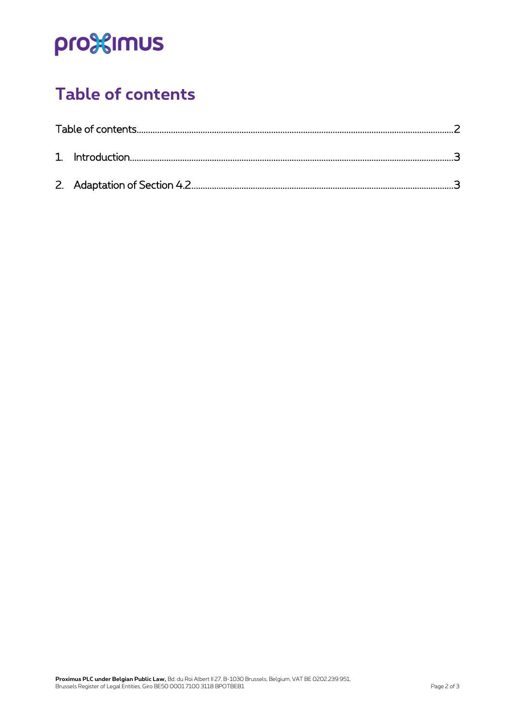# pro<sup>32</sup>imus

### <span id="page-1-0"></span>**Table of contents**